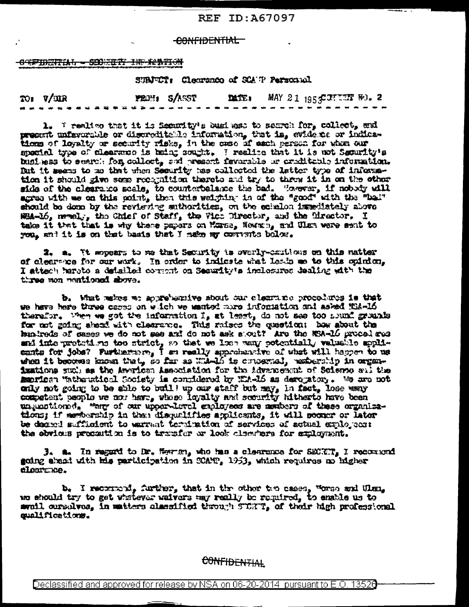#### **REF ID: 467097**

#### CONFIDENTIAL

#### OFFIDERIAL - SECTION IN RESULT

#### SUNFUT: Clearance of SOATP Personnel

|                                                | $701 \tV/MR$ |  |  |  |  |  |  | FEDH: S/ASST |  |  |  |  |  |  |  |  |  |  |  |  |  |  |  | $\mathbf{MSE}_{4}$ MAY 2.1 1955 IT IT FO. 2 |  |  |  |  |  |  |  |  |  |  |
|------------------------------------------------|--------------|--|--|--|--|--|--|--------------|--|--|--|--|--|--|--|--|--|--|--|--|--|--|--|---------------------------------------------|--|--|--|--|--|--|--|--|--|--|
| <b>第36 年末张扬的传统团团团体现在中央工作中日本月末年轻的日本日本五年月末年轻</b> |              |  |  |  |  |  |  |              |  |  |  |  |  |  |  |  |  |  |  |  |  |  |  |                                             |  |  |  |  |  |  |  |  |  |  |

1. I realize that it is femmity's business to search for, collect, and present unfeverable or discreditable information, that is, evidence or indica-<br>tions of loyalty or security risks, in the case of each person for when our special type of clearance is being sought. I realize that it is not Security's business to search for colloct, and present favorable or creditable information. But it means to me that when Security has collected the latter type of informa-<br>tion it should give seme recognition thereto and try to threw it in on the other side of the clearance scale, to counterbalance the bad. "forever, if nobody will agree with we on this point, then this weighing in of the "good" with the "bal" should be doon by the reviewing suthorities, on the celebon immediately above HSA-16, nevely, the Chief of Staff, the Vice Director, and the Circutor. I take it that that is why these papers on Morse, Hewah, and Ulan were sent to you, and it is on that basis that I make my convents below.

2. a. It mopeurs to me that Security is overly-cautions on this natter of clearance for our work. In order to indicate what leads as to this opinion. I attach heroto a detailed coment on Security's inclosures dealing with the three won positioned showe.

b. What makes we approbamive about our clearance procedures is that we have here three capps on witch we manted more information and asked Wid-16 therefor. When we got the information I, at least, do not see too sound grounds for not going sheed with clearance. This raises the question: her shout the hunireds of cases we do not see and do not ask sport? Are the NSA-16 procedures and interpretetions too strict, so that we has weny potentially valuable appli-<br>ents for jobs? Furthermore, I as really approbandive of what will happen to us<br>when it becomes known that, so far as Widel's concerned, respec issidons such as the Averican Association for the Advancement of Science sul the hearing "athentical Society is considered by WA-16 as derogatory. We are not only not going to be shie to buill up our staff but may, in fact, lose way only not going to be shie to buill up our staff but may, in fact, lose way unjustioned. "are of our upper-level exployees are members of these organizations; if membership in that disqualifies applicants, it will socker or lator be degred sufficient to warrant teruination of services of actual exployees: the obvious procention is to trusfer or look classions for exployment.

 $3.$  a. In regard to br. Hewing who has a clearance for SECKT, I reconsord going abasi with his participation in SCATP, 1953, which requires no higher closrate.

b. I receivent, further, that in the other the cases, worse and Ulan, we should try to get whetever waivers may really be required, to enable us to avail cursolves, in matters classified through STCKT, of their high professional qualifications.

**CONFIDENTIAL**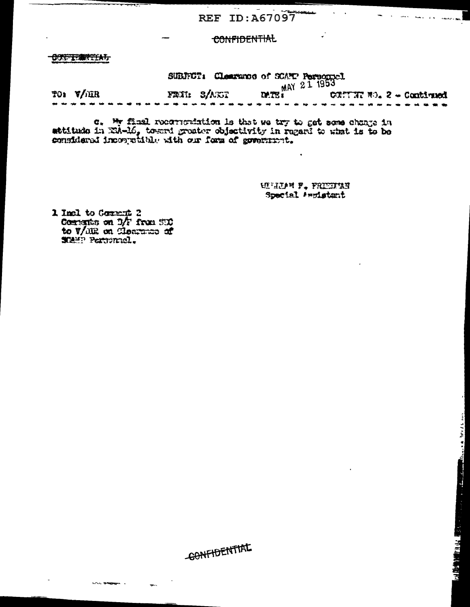### **CONFIDENTIAL**

OUTTERATION

 $- - -$ 

SUBJECT: Clearance of SCATP Personnel<br>FRAIL S/ASST DATE: COMPLEMENT TO: V/IIR FRIL SANNI CONTINUES. 2 - Continued ---

c. We final recorrendation is that we try to get some change in attitude in EM-16, toward greater objectivity in regard to what is to be considered incorprimed with our form of government.

**WHIPN F. FRIEDING** Special Augustant

1 Incl to Cornert 2 Comments on DA from SUC<br>to V/dR on Closence of

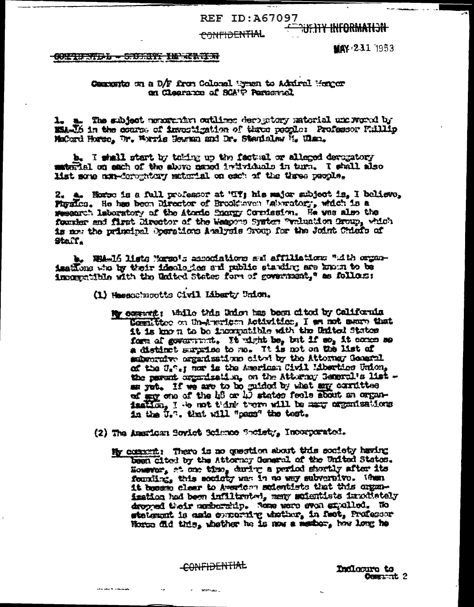#### <del>CONFIDENTIAL</del>

# **HEHAMAGTAY YTTER**

#### RETRIED - CHILITY IS ALARM

MAY 231 1953

#### Communites on a D/F from Collorel Uyuan to Admiral Henger on Clearance of SCA<sup>re</sup> Personnel

1. a. The subject programs cotlines derigitory ratorial undergood by EL-16 in the course of investigation of three people: Professor Fullip MaCord Horse, by, Wavis Hersen and Dr. Stanislaw 11, Ulan.

b. I shall start by toking up the factual or alleged deveratory material on each of the above neard intividuals in turn. I shall also Mst some non-derogatory material on each of the three pasole.

2. a. Horse is a full professor at 'IT'; his major subject is, I believe, Figules. He has been Director of Brook aven Vakwatory, which is a research laboratory of the Atoric Snorgy Cornission. He was also the fourier and first lirector of the Weapons System Weluntion Group, which is are the principal Operations Aualysis Group for the Joint Chiefs of Staff.

b. Whalf lists Harmo's associations and affiliations "with organisations the by their ideologies and public standing are known to be improprible with the United States form of government," as follows:

- (1) Hasseburgtts Civil Liberty Union.
	- My comment: While this Union has been cited by California Lomittee on Understam Activities, I am not near that it is known to be incorputible with the United States form of government, It wight be, but if so, it comes so a distinct surprise to no. It is not on the list of subscribe arganisations cited by the Attorney General of the U.º.; her is the American Civil Mberties Union, the parent organization, on the Attorney General's list as yet. If we are to be guided by what any corruttee of say one of the hour who states feels about an organination, I do not think them will be may experissions in the U.S. that will "pam" the test.
- (2) The American Soviet Science Society, Incorporated.
	- My community There is no question about this society having been cited by the Attornoy General of the United States. Homewor, at one time, during a period shortly after its founding, this society was in no way subversive. When it beem clear to American sutentists that this organimation hod been inflitented, many moientists impothetely dropped their membership. Some were even expalled. Ho statement is aste expecting whether, in fact, Professor Horse did this, whether he is now a nether, how long he

CONFIDENTIAL

arender .

Indicare to Comparent 2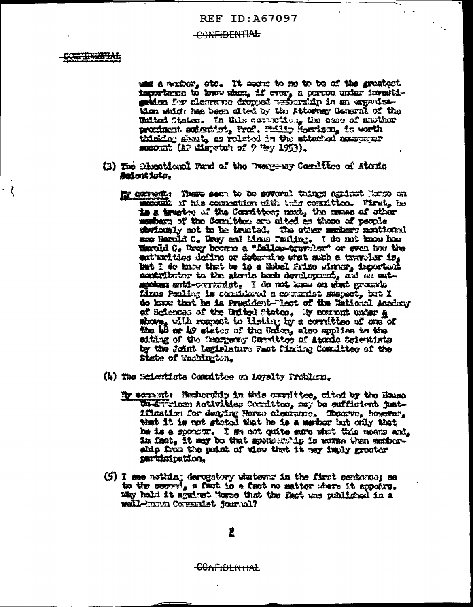#### CONFIDENTIAL

#### C<del>or Trenth</del>

use a which, etc. It seem to me to be of the greatest importance to know when, if ever, a person under investimidon for clearance dropped teriorship in an organisation which has been ofted by the Attorney General of the United States. In this correction, the ease of smother proxinent autominist, Prof. Willie Hardson, is worth thinking about, as related in the stimulation management exposite (a) dispetch of  $9$  Wy 1953).

- (3) The Micellond Fund of the Testerny Condition of Atomic Seigntiste.
	- By excrement: There seen to be several things against Rowse on secult if his commetion with this consition. Pirat, he is a trusted of the Correctber; mort, the masse of other methers of the Consition are afted as these of people storiously not to be trueted. The other meshers montioned are Harold C. Way and Mons fauling. I do not know how Marold C. Way became a "fallow-travelor" or even how the ent'unities define or determine what such a travolur is. but I do know that he is a lisbel folse winner, important contributor to the storic bomb development, and an outgestag anti-computet. I de not know on what grounds Linus Pauling is condidered a communite mapsot, but I de know that he is President-Rect of the Mational Academy of Sciences of the United States. By commont under a shore, with respect to listing by a correction of one of the 18 or 19 states of the Union, also applies to the aiting of the Seargang Corrittor of Atomic Scientists by the Joint Legislature Past Pinking Committee of the State of Rachington.
- (4) The Scientists Committee on Loyalty Problems,
	- By commit Herbership in this committee, cited by the House Wateriom Activities Cornittee, may be sufficient justification for denging Horso clearance. Theory, however, that it is not stated that he is a marker but only that he is a sponout. I se not quite sure what this means and. in fact, it may be that sponducing is worme then earthership from the point of view that it may imply greater participation.
- (5) I see nothin; derogatory whatever in the first sentence; as to the second, a fast is a fast no matter where it appeirs. tity hold it against Mores that the fact was published in a weil-kann Cornuist jamul?

<del>CONFIDLNTIAL</del>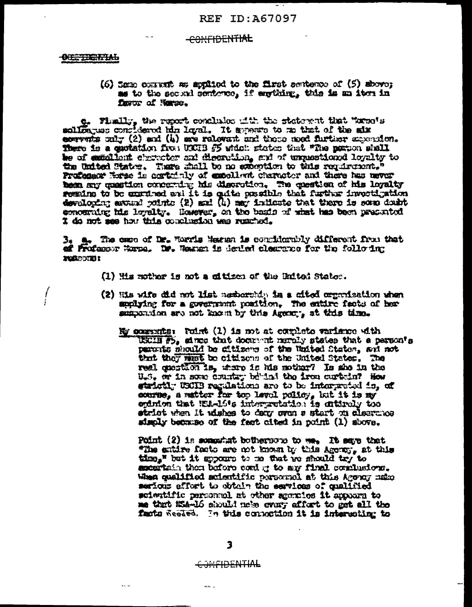#### <del>CONFIDENTIAL</del>

#### <del>otherman</del>

Ţ

#### $(6)$  See convert as anythod to the first sentence of  $(5)$  above: as to the second penterce, if anything, this is an item in favor of Navou,

o. Finally, the report concludes with the statement that "sweets corrects only  $(2)$  and  $(i)$  are relevant and these med further separaton. There is a quotation five UKUB 55 which states that "The portion shall be of exactiont choracter and discrution, and of unquestioned loyalty to the United States. There shall be no examption to this requirement." Profensor Exte is certainly of excellent character and there has never been my question concerning his disorotion. The question of his loyalty semine to be exerimed and it is quite possible that further investigation developing asward points (2) and (4) may indicate that there is some doubt concerning his levelty. However, on the basis of what has been presented I do not see how this conclusion was reacted.

B. a. The case of Dr. Horris Mergen is couplicately different from that of Freenow Horne. We Wester is devied clearance for the following **NURSCORD!** 

- (1) His mother is not a citizen of the United State:.
- (2) His wife did not list nexternity in a cited organization when applying for a government position. The entire facts of her summandon are not known by this Agency, at this time.
	- My consents: Point (1) is not at complete variance with USCIE F5, since that document manaly states that a person's purents should be ditizers of the Waited States, and not that they wast be citizens of the United States. The real question is, there is his nother? Is she in the U.S. or in some country behind the iron curvein? How strictly USCIB regulations are to be interpreted is, of course, a matter for top level policy, but it is my epinion that E1.416s interpretation is entirely too strict when it uishes to dear oven a start on electronor simply because of the fact cited in point (1) shows.

Point (2) is somewhat bothernous to we. It says that "The entire facts are not known by this Agency, at this time," but it spours to me that we should try to excertain than before coal it to my final cominsions. When qualified scientific personal at this Agency make serious effort to obtain the services of qualified scientific personal at other agentes it appears to me that KM-16 should nets every effort to get all the fasts Resled. In this connection it is interesting to

#### CONFIDENTIAL

ن بير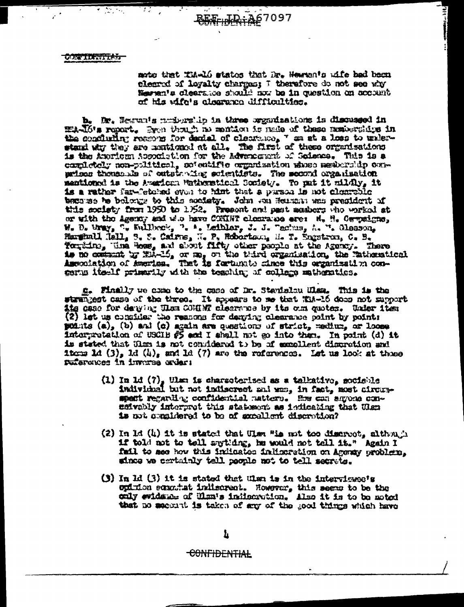大大家的复数形式

 $\mathcal{L}(\mathcal{L})$ 

note that Thele states that Dr. Hewnan's wife had been elected of loyalty charges: I therefore do not see why Margate clearance should now be in question on account of his wife's alcorance difficulties.

|را ابا ب ار<del>اقیمیدی</del>

b. Dr. Hespanis problematio in three organizations is discussed in HAJO's report. But though no mention is nade of these numberships in the conduring reasons for denial of clearance, " on at a loss to underwised with they are numioned at all. The first of these organisations is the Aucrican Accordetion for the Adventurent of Science. This is a completely non-political, soventific organization whose membership conwriter thousands of outstanding scientists. The second organisation mentioned is the American Watherstianl Society. To put it mildly, it is a rather far-fetched even to himt that a parson is not clearable because he belongs to this contaty. John van Heunann was pregident of this coniety from 1950 to 1352. Present and past acabors who worked at or with the Agency and who have CONINT clearance are: H. H. Gerpsigns, W. D. Uray, ". Fallbery, ". A. Leiblar, J. J. Techus, A. ". Glesson. Harginall Hall, S. S. Calvas, H. P. Robertoun, H. T. Engstrun, C. B. Youting, the Boss, and shout fifty other people at the Agency. There as no community Hole-15, or ma, on the third organization, the Tatherstical Association of America. That is fortunate cince this organization concerns itself primerily with the teaching of college mathematics.

g. Finally we come to the case of Dr. Stavislow When. This is the strangest case of the three. It spears to se that X18-16 does not support tte case for denying Them COMENT clearance by its oun quotes. Under item (2) let us consider the reasons for denying clearance point by points points (a), (b) and (c) again are questions of strict, medium, or loose interpretation of USCIB #5 and I shall not go into them. In point (d) it is stated that Him is not conddered to be of excellent discretion and items 1d  $(3)$ , 1d  $(4)$ , and 1d  $(7)$  are the references. Let us look at these sufaronces in invarse order:

- (1) In 1d  $(7)$ , then is characterised as a talkativo, sociable individual but not indiscrept and who, in fact, most circumspent regarding confidential mattern. Ex can anyone conefivably interprot this statement as indicating that Ulan is not considered to be of excellent discretion?
- (2) In Id (4) it is stated that Ulm "is not too discreet, although if told not to tell anything, he would not tell it." Again I fail to ase how this indicates indicatetion on Agency problem. since we certainly tell people not to tell secrets.
- (3) In  $Id$  (3) it is stated that then is in the interviewe's onimion somewhat indiscreat. However, this seem to be the caly evidence of Ulm's indicorotion. Also it is to be noted that no securit is taken of any of the good things which have

<del>CONFIDENTIAL</del>